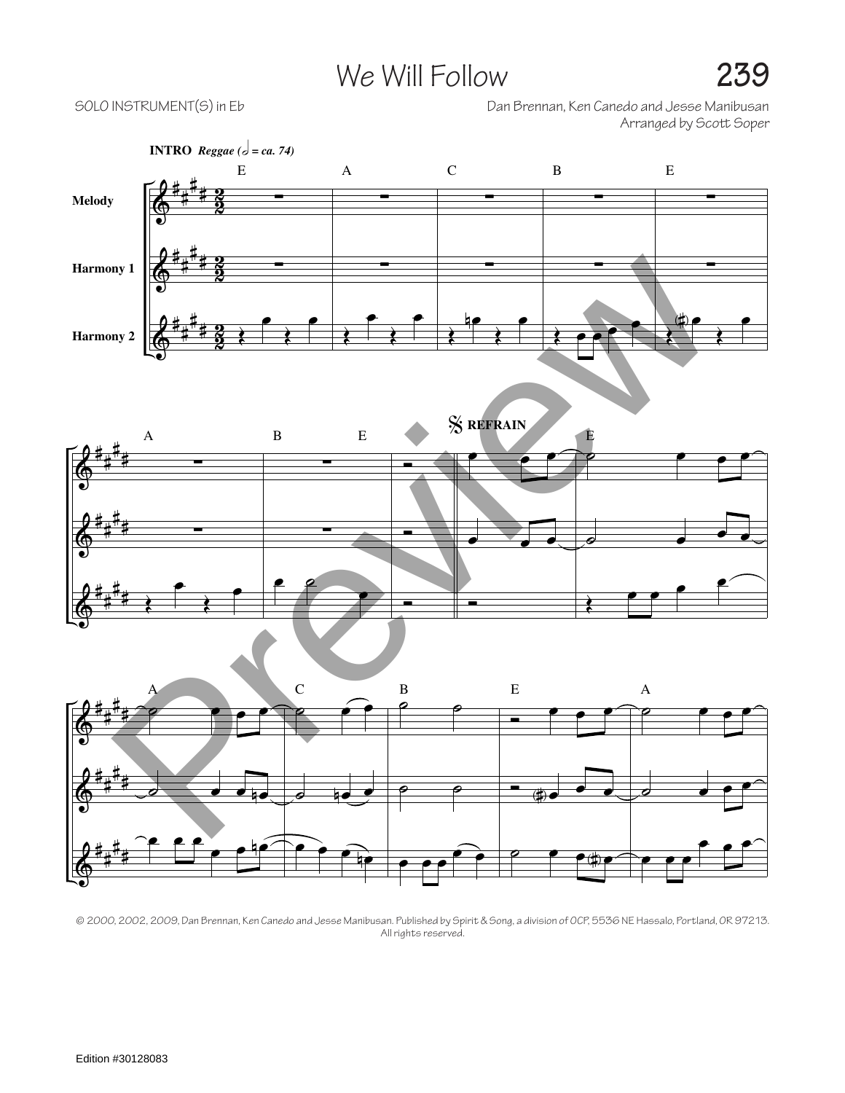## We Will Follow **239**

SOLO INSTRUMENT(S) in Eb Dan Brennan, Ken Canedo and Jesse Manibusan Arranged by Scott Soper



© 2000, 2002, 2009, Dan Brennan, Ken Canedo and Jesse Manibusan. Published by Spirit & Song, a division of OCP, 5536 NE Hassalo, Portland, OR 97213. All rights reserved.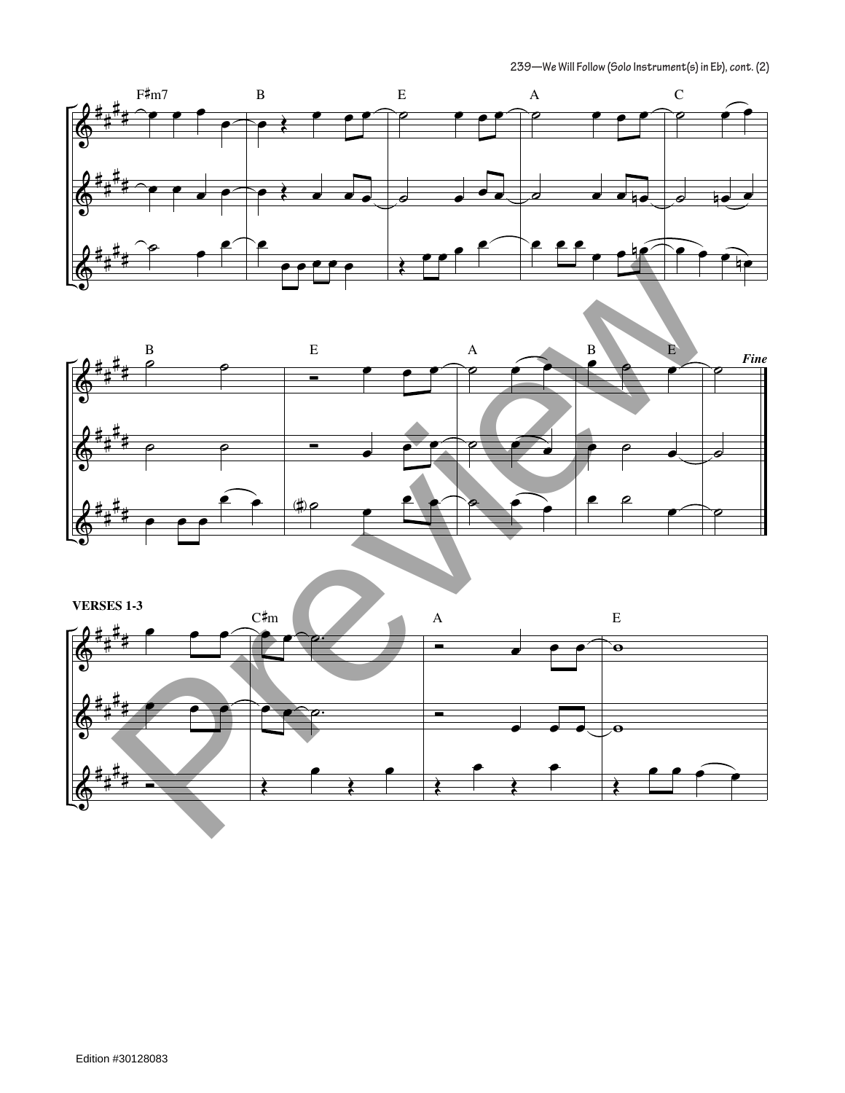